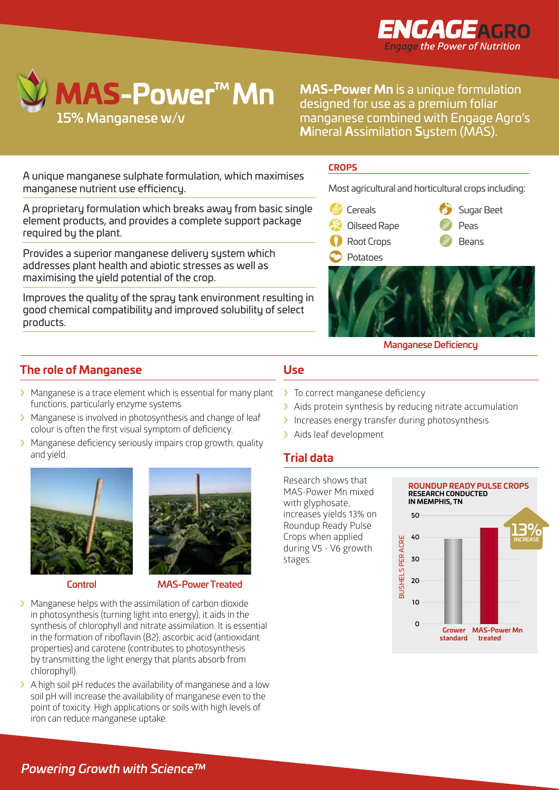



**MAS-Power Mn** is a unique formulation designed for use as a premium foliar manganese combined with Engage Agro's **M**ineral **A**ssimilation **S**ystem (MAS).

A unique manganese sulphate formulation, which maximises manganese nutrient use efficiency.

A proprietary formulation which breaks away from basic single element products, and provides a complete support package and  $\epsilon$  oile required by the plant.

Provides a superior manganese delivery system which addresses plant health and abiotic stresses as well as maximising the yield potential of the crop.

Improves the quality of the spray tank environment resulting in  $\color{red} \blacksquare$ good chemical compatibility and improved solubility of select **Top Fruit Lea** products.

### **CROPS**

Stone Fruit Tomatoes

Most agricultural and horticultural crops including:

Citrus Fruit Vine Crop

- Cereals Olives
- Cereals Oilseed Rape Rape seed Fruiting Vegetables Sugar Beet
- **Ornamental Root Crops** Rape seed Berry crops
	- Berry crops Root Crops Potatoes



 $\mathscr{O}$  Beans

Legumes

Brassicas

Stone Fruit Tomatoes

Brassicas

Sugar Beet

Peas

#### Manganese Deficiency

## **The role of Manganese**

# **Use**

- > Manganese is a trace element which is essential for many plant functions, particularly enzyme systems.
- > Manganese is involved in photosynthesis and change of leaf colour is often the first visual symptom of deficiency.
- > Manganese deficiency seriously impairs crop growth, quality and yield.





Control MAS-Power Treated

- $\blacktriangleright$  Manganese helps with the assimilation of carbon dioxide in photosynthesis (turning light into energy), it aids in the synthesis of chlorophyll and nitrate assimilation. It is essential in the formation of riboflavin (B2), ascorbic acid (antioxidant properties) and carotene (contributes to photosynthesis by transmitting the light energy that plants absorb from chlorophyll).
- $\blacktriangleright$  A high soil pH reduces the availability of manganese and a low soil pH will increase the availability of manganese even to the point of toxicity. High applications or soils with high levels of iron can reduce manganese uptake.
- > To correct manganese deficiency
- $\blacktriangleright$  Aids protein synthesis by reducing nitrate accumulation
- > Increases energy transfer during photosynthesis
- > Aids leaf development

## **Trial data**

Research shows that MAS-Power Mn mixed with glyphosate, increases yields 13% on Roundup Ready Pulse Crops when applied during V5 - V6 growth stages.